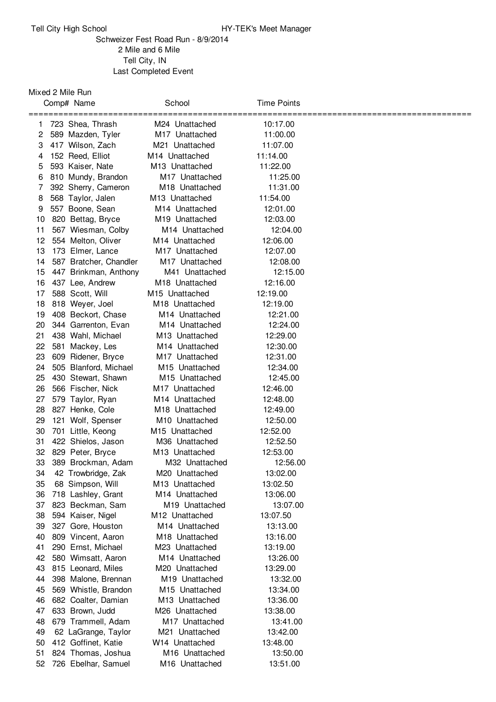## Schweizer Fest Road Run - 8/9/2014 Mile and 6 Mile Tell City, IN Last Completed Event

## Mixed 2 Mile Run

|    | Comp# Name             | School                     | Time Points |  |
|----|------------------------|----------------------------|-------------|--|
|    | =========              | ========                   | ======      |  |
| 1. | 723 Shea, Thrash       | M24 Unattached             | 10:17.00    |  |
| 2  | 589 Mazden, Tyler      | M <sub>17</sub> Unattached | 11:00.00    |  |
| 3  | 417 Wilson, Zach       | M21 Unattached             | 11:07.00    |  |
| 4  | 152 Reed, Elliot       | M <sub>14</sub> Unattached | 11:14.00    |  |
| 5  | 593 Kaiser, Nate       | M <sub>13</sub> Unattached | 11:22.00    |  |
| 6  | 810 Mundy, Brandon     | M17 Unattached             | 11:25.00    |  |
| 7  | 392 Sherry, Cameron    | M <sub>18</sub> Unattached | 11:31.00    |  |
| 8  | 568 Taylor, Jalen      | M <sub>13</sub> Unattached | 11:54.00    |  |
| 9  | 557 Boone, Sean        | M <sub>14</sub> Unattached | 12:01.00    |  |
| 10 | 820 Bettag, Bryce      | M <sub>19</sub> Unattached | 12:03.00    |  |
| 11 | 567 Wiesman, Colby     | M <sub>14</sub> Unattached | 12:04.00    |  |
| 12 | 554 Melton, Oliver     | M14 Unattached             | 12:06.00    |  |
| 13 | 173 Elmer, Lance       | M <sub>17</sub> Unattached | 12:07.00    |  |
| 14 | 587 Bratcher, Chandler | M <sub>17</sub> Unattached | 12:08.00    |  |
| 15 | 447 Brinkman, Anthony  | M41 Unattached             | 12:15.00    |  |
| 16 | 437 Lee, Andrew        | M <sub>18</sub> Unattached | 12:16.00    |  |
| 17 | 588 Scott, Will        | M <sub>15</sub> Unattached | 12:19.00    |  |
| 18 | 818 Weyer, Joel        | M <sub>18</sub> Unattached | 12:19.00    |  |
| 19 | 408 Beckort, Chase     | M <sub>14</sub> Unattached | 12:21.00    |  |
| 20 | 344 Garrenton, Evan    | M <sub>14</sub> Unattached | 12:24.00    |  |
| 21 | 438 Wahl, Michael      | M <sub>13</sub> Unattached | 12:29.00    |  |
| 22 | 581 Mackey, Les        | M <sub>14</sub> Unattached | 12:30.00    |  |
| 23 | 609 Ridener, Bryce     | M <sub>17</sub> Unattached | 12:31.00    |  |
| 24 | 505 Blanford, Michael  | M <sub>15</sub> Unattached | 12:34.00    |  |
| 25 | 430 Stewart, Shawn     | M <sub>15</sub> Unattached | 12:45.00    |  |
| 26 | 566 Fischer, Nick      | M <sub>17</sub> Unattached | 12:46.00    |  |
| 27 | 579 Taylor, Ryan       | M <sub>14</sub> Unattached | 12:48.00    |  |
| 28 | 827 Henke, Cole        | M <sub>18</sub> Unattached | 12:49.00    |  |
| 29 | 121 Wolf, Spenser      | M <sub>10</sub> Unattached | 12:50.00    |  |
| 30 | 701 Little, Keong      | M <sub>15</sub> Unattached | 12:52.00    |  |
| 31 | 422 Shielos, Jason     | M36 Unattached             | 12:52.50    |  |
| 32 | 829 Peter, Bryce       | M <sub>13</sub> Unattached | 12:53.00    |  |
| 33 | 389 Brockman, Adam     | M32 Unattached             | 12:56.00    |  |
| 34 | 42 Trowbridge, Zak     | M20 Unattached             | 13:02.00    |  |
| 35 | 68 Simpson, Will       | M <sub>13</sub> Unattached | 13:02.50    |  |
| 36 | 718 Lashley, Grant     | M14 Unattached             | 13:06.00    |  |
| 37 | 823 Beckman, Sam       | M <sub>19</sub> Unattached | 13:07.00    |  |
| 38 | 594 Kaiser, Nigel      | M <sub>12</sub> Unattached | 13:07.50    |  |
| 39 | 327 Gore, Houston      | M <sub>14</sub> Unattached | 13:13.00    |  |
| 40 | 809 Vincent, Aaron     | M <sub>18</sub> Unattached | 13:16.00    |  |
| 41 | 290 Ernst, Michael     | M23 Unattached             | 13:19.00    |  |
| 42 | 580 Wimsatt, Aaron     | M <sub>14</sub> Unattached | 13:26.00    |  |
| 43 | 815 Leonard, Miles     | M20 Unattached             | 13:29.00    |  |
| 44 | 398 Malone, Brennan    | M19 Unattached             | 13:32.00    |  |
| 45 | 569 Whistle, Brandon   | M15 Unattached             | 13:34.00    |  |
| 46 | 682 Coalter, Damian    | M13 Unattached             | 13:36.00    |  |
| 47 | 633 Brown, Judd        | M26 Unattached             | 13:38.00    |  |
| 48 | 679 Trammell, Adam     | M17 Unattached             | 13:41.00    |  |
| 49 | 62 LaGrange, Taylor    | M21 Unattached             | 13:42.00    |  |
| 50 | 412 Goffinet, Katie    | W <sub>14</sub> Unattached | 13:48.00    |  |
| 51 | 824 Thomas, Joshua     | M16 Unattached             | 13:50.00    |  |
| 52 | 726 Ebelhar, Samuel    | M16 Unattached             | 13:51.00    |  |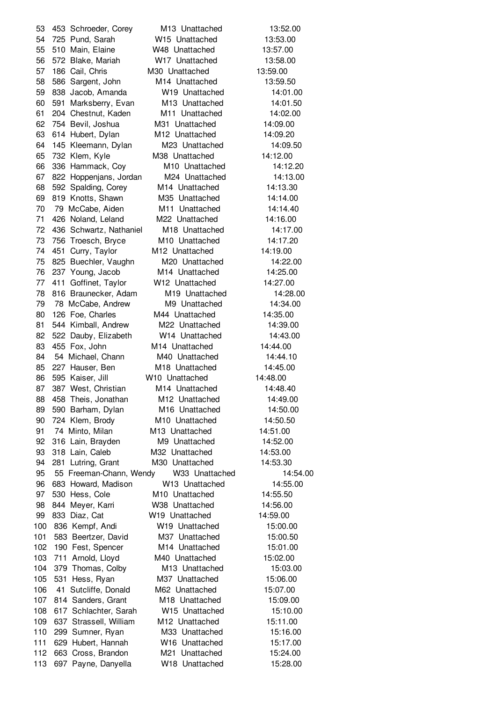453 Schroeder, Corey M13 Unattached 13:52.00 725 Pund, Sarah W15 Unattached 13:53.00 510 Main, Elaine W48 Unattached 13:57.00 572 Blake, Mariah W17 Unattached 13:58.00 186 Cail, Chris M30 Unattached 13:59.00 586 Sargent, John M14 Unattached 13:59.50 838 Jacob, Amanda W19 Unattached 14:01.00 591 Marksberry, Evan M13 Unattached 14:01.50 204 Chestnut, Kaden M11 Unattached 14:02.00 754 Bevil, Joshua M31 Unattached 14:09.00 614 Hubert, Dylan M12 Unattached 14:09.20 145 Kleemann, Dylan M23 Unattached 14:09.50 732 Klem, Kyle M38 Unattached 14:12.00 336 Hammack, Coy M10 Unattached 14:12.20 822 Hoppenjans, Jordan M24 Unattached 14:13.00 592 Spalding, Corey M14 Unattached 14:13.30 819 Knotts, Shawn M35 Unattached 14:14.00 79 McCabe, Aiden M11 Unattached 14:14.40 426 Noland, Leland M22 Unattached 14:16.00 436 Schwartz, Nathaniel M18 Unattached 14:17.00 756 Troesch, Bryce M10 Unattached 14:17.20 451 Curry, Taylor M12 Unattached 14:19.00 825 Buechler, Vaughn M20 Unattached 14:22.00 237 Young, Jacob M14 Unattached 14:25.00 411 Goffinet, Taylor W12 Unattached 14:27.00 816 Braunecker, Adam M19 Unattached 14:28.00 78 McCabe, Andrew M9 Unattached 14:34.00 126 Foe, Charles M44 Unattached 14:35.00 544 Kimball, Andrew M22 Unattached 14:39.00 522 Dauby, Elizabeth W14 Unattached 14:43.00 455 Fox, John M14 Unattached 14:44.00 54 Michael, Chann M40 Unattached 14:44.10 227 Hauser, Ben M18 Unattached 14:45.00 595 Kaiser, Jill W10 Unattached 14:48.00 87 387 West, Christian M14 Unattached 14:48.40 88 458 Theis, Jonathan M12 Unattached 14:49.00 590 Barham, Dylan M16 Unattached 14:50.00 724 Klem, Brody M10 Unattached 14:50.50 74 Minto, Milan M13 Unattached 14:51.00 316 Lain, Brayden M9 Unattached 14:52.00 318 Lain, Caleb M32 Unattached 14:53.00 281 Lutring, Grant M30 Unattached 14:53.30 55 Freeman-Chann, Wendy W33 Unattached 14:54.00 683 Howard, Madison W13 Unattached 14:55.00 530 Hess, Cole M10 Unattached 14:55.50 844 Meyer, Karri W38 Unattached 14:56.00 833 Diaz, Cat W19 Unattached 14:59.00 836 Kempf, Andi W19 Unattached 15:00.00 583 Beertzer, David M37 Unattached 15:00.50 190 Fest, Spencer M14 Unattached 15:01.00 711 Arnold, Lloyd M40 Unattached 15:02.00 379 Thomas, Colby M13 Unattached 15:03.00 531 Hess, Ryan M37 Unattached 15:06.00 41 Sutcliffe, Donald M62 Unattached 15:07.00 814 Sanders, Grant M18 Unattached 15:09.00 617 Schlachter, Sarah W15 Unattached 15:10.00 637 Strassell, William M12 Unattached 15:11.00 299 Sumner, Ryan M33 Unattached 15:16.00 629 Hubert, Hannah W16 Unattached 15:17.00 663 Cross, Brandon M21 Unattached 15:24.00 697 Payne, Danyella W18 Unattached 15:28.00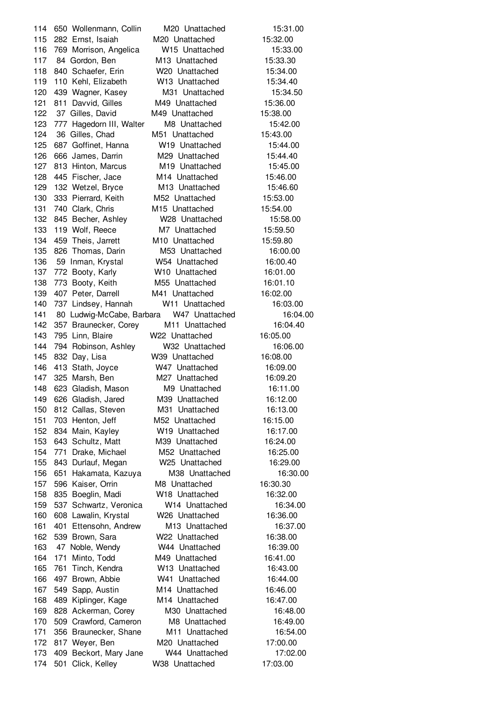650 Wollenmann, Collin M20 Unattached 15:31.00 282 Ernst, Isaiah M20 Unattached 15:32.00 769 Morrison, Angelica W15 Unattached 15:33.00 117 84 Gordon, Ben M13 Unattached 15:33.30 840 Schaefer, Erin W20 Unattached 15:34.00 110 Kehl, Elizabeth W13 Unattached 15:34.40 439 Wagner, Kasey M31 Unattached 15:34.50 121 811 Davvid, Gilles M49 Unattached 15:36.00 37 Gilles, David M49 Unattached 15:38.00 777 Hagedorn III, Walter M8 Unattached 15:42.00 36 Gilles, Chad M51 Unattached 15:43.00 687 Goffinet, Hanna W19 Unattached 15:44.00 666 James, Darrin M29 Unattached 15:44.40 813 Hinton, Marcus M19 Unattached 15:45.00 445 Fischer, Jace M14 Unattached 15:46.00 132 Wetzel, Bryce M13 Unattached 15:46.60 333 Pierrard, Keith M52 Unattached 15:53.00 740 Clark, Chris M15 Unattached 15:54.00 845 Becher, Ashley W28 Unattached 15:58.00 119 Wolf, Reece M7 Unattached 15:59.50 459 Theis, Jarrett M10 Unattached 15:59.80 826 Thomas, Darin M53 Unattached 16:00.00 59 Inman, Krystal W54 Unattached 16:00.40 772 Booty, Karly W10 Unattached 16:01.00 138 773 Booty, Keith M55 Unattached 16:01.10 407 Peter, Darrell M41 Unattached 16:02.00 737 Lindsey, Hannah W11 Unattached 16:03.00 80 Ludwig-McCabe, Barbara W47 Unattached 16:04.00 357 Braunecker, Corey M11 Unattached 16:04.40 795 Linn, Blaire W22 Unattached 16:05.00 794 Robinson, Ashley W32 Unattached 16:06.00 832 Day, Lisa W39 Unattached 16:08.00 413 Stath, Joyce W47 Unattached 16:09.00 325 Marsh, Ben M27 Unattached 16:09.20 623 Gladish, Mason M9 Unattached 16:11.00 626 Gladish, Jared M39 Unattached 16:12.00 812 Callas, Steven M31 Unattached 16:13.00 703 Henton, Jeff M52 Unattached 16:15.00 834 Main, Kayley W19 Unattached 16:17.00 643 Schultz, Matt M39 Unattached 16:24.00 771 Drake, Michael M52 Unattached 16:25.00 843 Durlauf, Megan W25 Unattached 16:29.00 651 Hakamata, Kazuya M38 Unattached 16:30.00 596 Kaiser, Orrin M8 Unattached 16:30.30 835 Boeglin, Madi W18 Unattached 16:32.00 537 Schwartz, Veronica W14 Unattached 16:34.00 608 Lawalin, Krystal W26 Unattached 16:36.00 401 Ettensohn, Andrew M13 Unattached 16:37.00 539 Brown, Sara W22 Unattached 16:38.00 47 Noble, Wendy W44 Unattached 16:39.00 171 Minto, Todd M49 Unattached 16:41.00 761 Tinch, Kendra W13 Unattached 16:43.00 497 Brown, Abbie W41 Unattached 16:44.00 549 Sapp, Austin M14 Unattached 16:46.00 489 Kiplinger, Kage M14 Unattached 16:47.00 828 Ackerman, Corey M30 Unattached 16:48.00 509 Crawford, Cameron M8 Unattached 16:49.00 356 Braunecker, Shane M11 Unattached 16:54.00 817 Weyer, Ben M20 Unattached 17:00.00 409 Beckort, Mary Jane W44 Unattached 17:02.00 501 Click, Kelley W38 Unattached 17:03.00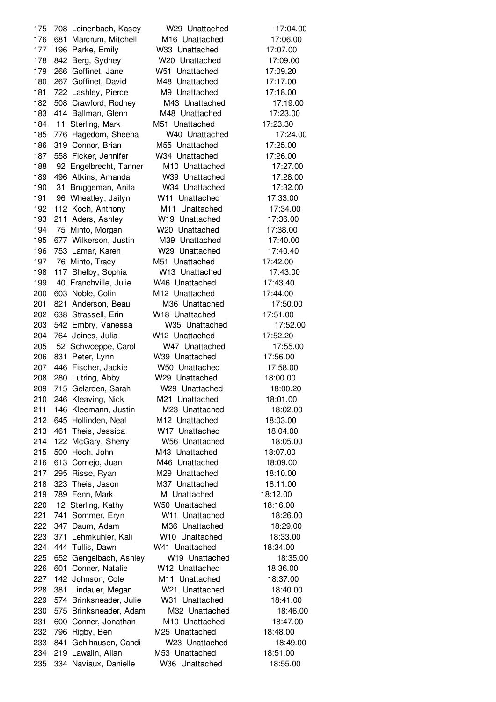708 Leinenbach, Kasey W29 Unattached 17:04.00 681 Marcrum, Mitchell M16 Unattached 17:06.00 196 Parke, Emily W33 Unattached 17:07.00 842 Berg, Sydney W20 Unattached 17:09.00 266 Goffinet, Jane W51 Unattached 17:09.20 267 Goffinet, David M48 Unattached 17:17.00 722 Lashley, Pierce M9 Unattached 17:18.00 508 Crawford, Rodney M43 Unattached 17:19.00 414 Ballman, Glenn M48 Unattached 17:23.00 11 Sterling, Mark M51 Unattached 17:23.30 776 Hagedorn, Sheena W40 Unattached 17:24.00 319 Connor, Brian M55 Unattached 17:25.00 558 Ficker, Jennifer W34 Unattached 17:26.00 92 Engelbrecht, Tanner M10 Unattached 17:27.00 496 Atkins, Amanda W39 Unattached 17:28.00 31 Bruggeman, Anita W34 Unattached 17:32.00 96 Wheatley, Jailyn W11 Unattached 17:33.00 112 Koch, Anthony M11 Unattached 17:34.00 211 Aders, Ashley W19 Unattached 17:36.00 75 Minto, Morgan W20 Unattached 17:38.00 677 Wilkerson, Justin M39 Unattached 17:40.00 753 Lamar, Karen W29 Unattached 17:40.40 76 Minto, Tracy M51 Unattached 17:42.00 117 Shelby, Sophia W13 Unattached 17:43.00 40 Franchville, Julie W46 Unattached 17:43.40 603 Noble, Colin M12 Unattached 17:44.00 821 Anderson, Beau M36 Unattached 17:50.00 638 Strassell, Erin W18 Unattached 17:51.00 542 Embry, Vanessa W35 Unattached 17:52.00 764 Joines, Julia W12 Unattached 17:52.20 52 Schwoeppe, Carol W47 Unattached 17:55.00 831 Peter, Lynn W39 Unattached 17:56.00 446 Fischer, Jackie W50 Unattached 17:58.00 280 Lutring, Abby W29 Unattached 18:00.00 715 Gelarden, Sarah W29 Unattached 18:00.20 246 Kleaving, Nick M21 Unattached 18:01.00 146 Kleemann, Justin M23 Unattached 18:02.00 645 Hollinden, Neal M12 Unattached 18:03.00 461 Theis, Jessica W17 Unattached 18:04.00 122 McGary, Sherry W56 Unattached 18:05.00 500 Hoch, John M43 Unattached 18:07.00 613 Cornejo, Juan M46 Unattached 18:09.00 295 Risse, Ryan M29 Unattached 18:10.00 323 Theis, Jason M37 Unattached 18:11.00 219 789 Fenn, Mark M Unattached 18:12.00 12 Sterling, Kathy W50 Unattached 18:16.00 741 Sommer, Eryn W11 Unattached 18:26.00 347 Daum, Adam M36 Unattached 18:29.00 371 Lehmkuhler, Kali W10 Unattached 18:33.00 444 Tullis, Dawn W41 Unattached 18:34.00 652 Gengelbach, Ashley W19 Unattached 18:35.00 601 Conner, Natalie W12 Unattached 18:36.00 142 Johnson, Cole M11 Unattached 18:37.00 381 Lindauer, Megan W21 Unattached 18:40.00 574 Brinksneader, Julie W31 Unattached 18:41.00 575 Brinksneader, Adam M32 Unattached 18:46.00 600 Conner, Jonathan M10 Unattached 18:47.00 796 Rigby, Ben M25 Unattached 18:48.00 841 Gehlhausen, Candi W23 Unattached 18:49.00 219 Lawalin, Allan M53 Unattached 18:51.00 334 Naviaux, Danielle W36 Unattached 18:55.00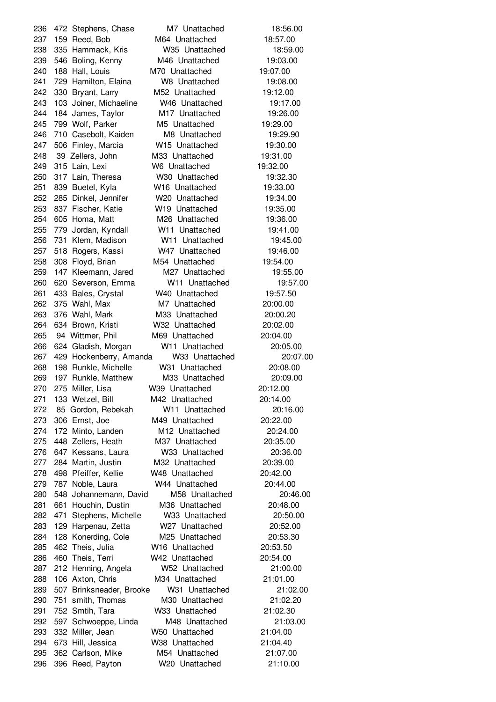472 Stephens, Chase M7 Unattached 18:56.00 159 Reed, Bob M64 Unattached 18:57.00 335 Hammack, Kris W35 Unattached 18:59.00 546 Boling, Kenny M46 Unattached 19:03.00 188 Hall, Louis M70 Unattached 19:07.00 729 Hamilton, Elaina W8 Unattached 19:08.00 330 Bryant, Larry M52 Unattached 19:12.00 103 Joiner, Michaeline W46 Unattached 19:17.00 184 James, Taylor M17 Unattached 19:26.00 799 Wolf, Parker M5 Unattached 19:29.00 710 Casebolt, Kaiden M8 Unattached 19:29.90 506 Finley, Marcia W15 Unattached 19:30.00 39 Zellers, John M33 Unattached 19:31.00 315 Lain, Lexi W6 Unattached 19:32.00 317 Lain, Theresa W30 Unattached 19:32.30 839 Buetel, Kyla W16 Unattached 19:33.00 285 Dinkel, Jennifer W20 Unattached 19:34.00 837 Fischer, Katie W19 Unattached 19:35.00 605 Homa, Matt M26 Unattached 19:36.00 779 Jordan, Kyndall W11 Unattached 19:41.00 731 Klem, Madison W11 Unattached 19:45.00 518 Rogers, Kassi W47 Unattached 19:46.00 308 Floyd, Brian M54 Unattached 19:54.00 147 Kleemann, Jared M27 Unattached 19:55.00 620 Severson, Emma W11 Unattached 19:57.00 433 Bales, Crystal W40 Unattached 19:57.50 375 Wahl, Max M7 Unattached 20:00.00 376 Wahl, Mark M33 Unattached 20:00.20 634 Brown, Kristi W32 Unattached 20:02.00 94 Wittmer, Phil M69 Unattached 20:04.00 624 Gladish, Morgan W11 Unattached 20:05.00 429 Hockenberry, Amanda W33 Unattached 20:07.00 198 Runkle, Michelle W31 Unattached 20:08.00 197 Runkle, Matthew M33 Unattached 20:09.00 275 Miller, Lisa W39 Unattached 20:12.00 133 Wetzel, Bill M42 Unattached 20:14.00 85 Gordon, Rebekah W11 Unattached 20:16.00 306 Ernst, Joe M49 Unattached 20:22.00 172 Minto, Landen M12 Unattached 20:24.00 448 Zellers, Heath M37 Unattached 20:35.00 647 Kessans, Laura W33 Unattached 20:36.00 284 Martin, Justin M32 Unattached 20:39.00 498 Pfeiffer, Kellie W48 Unattached 20:42.00 787 Noble, Laura W44 Unattached 20:44.00 548 Johannemann, David M58 Unattached 20:46.00 661 Houchin, Dustin M36 Unattached 20:48.00 471 Stephens, Michelle W33 Unattached 20:50.00 129 Harpenau, Zetta W27 Unattached 20:52.00 128 Konerding, Cole M25 Unattached 20:53.30 462 Theis, Julia W16 Unattached 20:53.50 460 Theis, Terri W42 Unattached 20:54.00 212 Henning, Angela W52 Unattached 21:00.00 288 106 Axton, Chris M34 Unattached 21:01.00 507 Brinksneader, Brooke W31 Unattached 21:02.00 751 smith, Thomas M30 Unattached 21:02.20 752 Smtih, Tara W33 Unattached 21:02.30 597 Schwoeppe, Linda M48 Unattached 21:03.00 332 Miller, Jean W50 Unattached 21:04.00 673 Hill, Jessica W38 Unattached 21:04.40 362 Carlson, Mike M54 Unattached 21:07.00 396 Reed, Payton W20 Unattached 21:10.00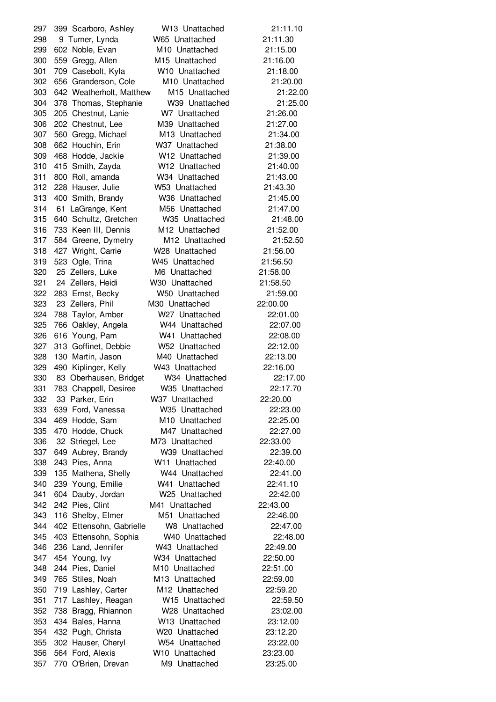399 Scarboro, Ashley W13 Unattached 21:11.10 9 Turner, Lynda W65 Unattached 21:11.30 602 Noble, Evan M10 Unattached 21:15.00 559 Gregg, Allen M15 Unattached 21:16.00 709 Casebolt, Kyla W10 Unattached 21:18.00 656 Granderson, Cole M10 Unattached 21:20.00 642 Weatherholt, Matthew M15 Unattached 21:22.00 378 Thomas, Stephanie W39 Unattached 21:25.00 205 Chestnut, Lanie W7 Unattached 21:26.00 202 Chestnut, Lee M39 Unattached 21:27.00 560 Gregg, Michael M13 Unattached 21:34.00 662 Houchin, Erin W37 Unattached 21:38.00 468 Hodde, Jackie W12 Unattached 21:39.00 415 Smith, Zayda W12 Unattached 21:40.00 800 Roll, amanda W34 Unattached 21:43.00 228 Hauser, Julie W53 Unattached 21:43.30 400 Smith, Brandy W36 Unattached 21:45.00 61 LaGrange, Kent M56 Unattached 21:47.00 640 Schultz, Gretchen W35 Unattached 21:48.00 733 Keen III, Dennis M12 Unattached 21:52.00 584 Greene, Dymetry M12 Unattached 21:52.50 427 Wright, Carrie W28 Unattached 21:56.00 523 Ogle, Trina W45 Unattached 21:56.50 25 Zellers, Luke M6 Unattached 21:58.00 24 Zellers, Heidi W30 Unattached 21:58.50 283 Ernst, Becky W50 Unattached 21:59.00 23 Zellers, Phil M30 Unattached 22:00.00 788 Taylor, Amber W27 Unattached 22:01.00 766 Oakley, Angela W44 Unattached 22:07.00 616 Young, Pam W41 Unattached 22:08.00 313 Goffinet, Debbie W52 Unattached 22:12.00 130 Martin, Jason M40 Unattached 22:13.00 490 Kiplinger, Kelly W43 Unattached 22:16.00 83 Oberhausen, Bridget W34 Unattached 22:17.00 783 Chappell, Desiree W35 Unattached 22:17.70 33 Parker, Erin W37 Unattached 22:20.00 639 Ford, Vanessa W35 Unattached 22:23.00 469 Hodde, Sam M10 Unattached 22:25.00 470 Hodde, Chuck M47 Unattached 22:27.00 32 Striegel, Lee M73 Unattached 22:33.00 649 Aubrey, Brandy W39 Unattached 22:39.00 243 Pies, Anna W11 Unattached 22:40.00 135 Mathena, Shelly W44 Unattached 22:41.00 239 Young, Emilie W41 Unattached 22:41.10 604 Dauby, Jordan W25 Unattached 22:42.00 242 Pies, Clint M41 Unattached 22:43.00 116 Shelby, Elmer M51 Unattached 22:46.00 402 Ettensohn, Gabrielle W8 Unattached 22:47.00 403 Ettensohn, Sophia W40 Unattached 22:48.00 236 Land, Jennifer W43 Unattached 22:49.00 454 Young, Ivy W34 Unattached 22:50.00 244 Pies, Daniel M10 Unattached 22:51.00 765 Stiles, Noah M13 Unattached 22:59.00 719 Lashley, Carter M12 Unattached 22:59.20 717 Lashley, Reagan W15 Unattached 22:59.50 738 Bragg, Rhiannon W28 Unattached 23:02.00 434 Bales, Hanna W13 Unattached 23:12.00 432 Pugh, Christa W20 Unattached 23:12.20 302 Hauser, Cheryl W54 Unattached 23:22.00 564 Ford, Alexis W10 Unattached 23:23.00 770 O'Brien, Drevan M9 Unattached 23:25.00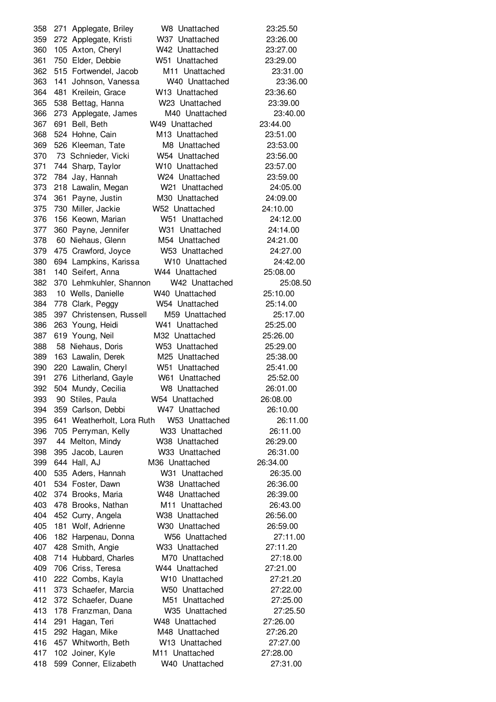271 Applegate, Briley W8 Unattached 23:25.50 272 Applegate, Kristi W37 Unattached 23:26.00 105 Axton, Cheryl W42 Unattached 23:27.00 750 Elder, Debbie W51 Unattached 23:29.00 515 Fortwendel, Jacob M11 Unattached 23:31.00 141 Johnson, Vanessa W40 Unattached 23:36.00 481 Kreilein, Grace W13 Unattached 23:36.60 538 Bettag, Hanna W23 Unattached 23:39.00 273 Applegate, James M40 Unattached 23:40.00 691 Bell, Beth W49 Unattached 23:44.00 524 Hohne, Cain M13 Unattached 23:51.00 526 Kleeman, Tate M8 Unattached 23:53.00 73 Schnieder, Vicki W54 Unattached 23:56.00 744 Sharp, Taylor W10 Unattached 23:57.00 784 Jay, Hannah W24 Unattached 23:59.00 218 Lawalin, Megan W21 Unattached 24:05.00 361 Payne, Justin M30 Unattached 24:09.00 730 Miller, Jackie W52 Unattached 24:10.00 156 Keown, Marian W51 Unattached 24:12.00 360 Payne, Jennifer W31 Unattached 24:14.00 60 Niehaus, Glenn M54 Unattached 24:21.00 475 Crawford, Joyce W53 Unattached 24:27.00 694 Lampkins, Karissa W10 Unattached 24:42.00 140 Seifert, Anna W44 Unattached 25:08.00 370 Lehmkuhler, Shannon W42 Unattached 25:08.50 10 Wells, Danielle W40 Unattached 25:10.00 778 Clark, Peggy W54 Unattached 25:14.00 397 Christensen, Russell M59 Unattached 25:17.00 263 Young, Heidi W41 Unattached 25:25.00 619 Young, Neil M32 Unattached 25:26.00 58 Niehaus, Doris W53 Unattached 25:29.00 163 Lawalin, Derek M25 Unattached 25:38.00 220 Lawalin, Cheryl W51 Unattached 25:41.00 276 Litherland, Gayle W61 Unattached 25:52.00 504 Mundy, Cecilia W8 Unattached 26:01.00 90 Stiles, Paula W54 Unattached 26:08.00 359 Carlson, Debbi W47 Unattached 26:10.00 641 Weatherholt, Lora Ruth W53 Unattached 26:11.00 705 Perryman, Kelly W33 Unattached 26:11.00 44 Melton, Mindy W38 Unattached 26:29.00 395 Jacob, Lauren W33 Unattached 26:31.00 644 Hall, AJ M36 Unattached 26:34.00 535 Aders, Hannah W31 Unattached 26:35.00 534 Foster, Dawn W38 Unattached 26:36.00 374 Brooks, Maria W48 Unattached 26:39.00 478 Brooks, Nathan M11 Unattached 26:43.00 452 Curry, Angela W38 Unattached 26:56.00 181 Wolf, Adrienne W30 Unattached 26:59.00 182 Harpenau, Donna W56 Unattached 27:11.00 428 Smith, Angie W33 Unattached 27:11.20 714 Hubbard, Charles M70 Unattached 27:18.00 706 Criss, Teresa W44 Unattached 27:21.00 222 Combs, Kayla W10 Unattached 27:21.20 373 Schaefer, Marcia W50 Unattached 27:22.00 372 Schaefer, Duane M51 Unattached 27:25.00 178 Franzman, Dana W35 Unattached 27:25.50 291 Hagan, Teri W48 Unattached 27:26.00 292 Hagan, Mike M48 Unattached 27:26.20 457 Whitworth, Beth W13 Unattached 27:27.00 102 Joiner, Kyle M11 Unattached 27:28.00 599 Conner, Elizabeth W40 Unattached 27:31.00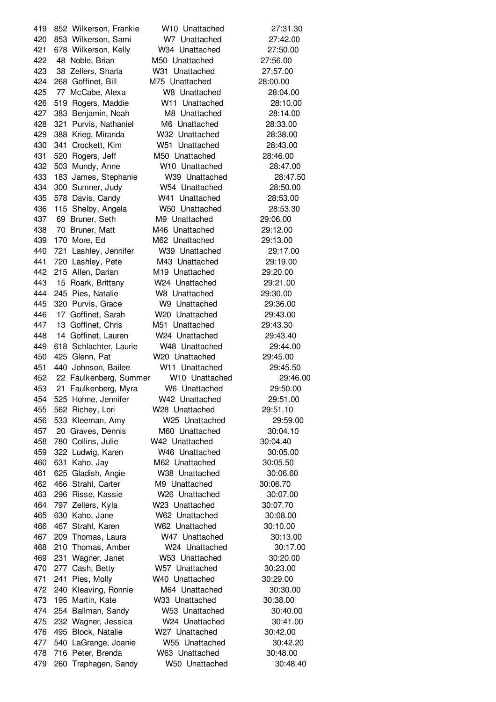852 Wilkerson, Frankie W10 Unattached 27:31.30 853 Wilkerson, Sami W7 Unattached 27:42.00 678 Wilkerson, Kelly W34 Unattached 27:50.00 48 Noble, Brian M50 Unattached 27:56.00 38 Zellers, Sharla W31 Unattached 27:57.00 268 Goffinet, Bill M75 Unattached 28:00.00 77 McCabe, Alexa W8 Unattached 28:04.00 519 Rogers, Maddie W11 Unattached 28:10.00 383 Benjamin, Noah M8 Unattached 28:14.00 321 Purvis, Nathaniel M6 Unattached 28:33.00 388 Krieg, Miranda W32 Unattached 28:38.00 341 Crockett, Kim W51 Unattached 28:43.00 520 Rogers, Jeff M50 Unattached 28:46.00 503 Mundy, Anne W10 Unattached 28:47.00 183 James, Stephanie W39 Unattached 28:47.50 300 Sumner, Judy W54 Unattached 28:50.00 578 Davis, Candy W41 Unattached 28:53.00 115 Shelby, Angela W50 Unattached 28:53.30 69 Bruner, Seth M9 Unattached 29:06.00 70 Bruner, Matt M46 Unattached 29:12.00 170 More, Ed M62 Unattached 29:13.00 721 Lashley, Jennifer W39 Unattached 29:17.00 720 Lashley, Pete M43 Unattached 29:19.00 215 Allen, Darian M19 Unattached 29:20.00 15 Roark, Brittany W24 Unattached 29:21.00 245 Pies, Natalie W8 Unattached 29:30.00 320 Purvis, Grace W9 Unattached 29:36.00 17 Goffinet, Sarah W20 Unattached 29:43.00 13 Goffinet, Chris M51 Unattached 29:43.30 14 Goffinet, Lauren W24 Unattached 29:43.40 618 Schlachter, Laurie W48 Unattached 29:44.00 425 Glenn, Pat W20 Unattached 29:45.00 440 Johnson, Bailee W11 Unattached 29:45.50 22 Faulkenberg, Summer W10 Unattached 29:46.00 21 Faulkenberg, Myra W6 Unattached 29:50.00 525 Hohne, Jennifer W42 Unattached 29:51.00 562 Richey, Lori W28 Unattached 29:51.10 533 Kleeman, Amy W25 Unattached 29:59.00 20 Graves, Dennis M60 Unattached 30:04.10 780 Collins, Julie W42 Unattached 30:04.40 322 Ludwig, Karen W46 Unattached 30:05.00 631 Kaho, Jay M62 Unattached 30:05.50 625 Gladish, Angie W38 Unattached 30:06.60 466 Strahl, Carter M9 Unattached 30:06.70 296 Risse, Kassie W26 Unattached 30:07.00 797 Zellers, Kyla W23 Unattached 30:07.70 630 Kaho, Jane W62 Unattached 30:08.00 467 Strahl, Karen W62 Unattached 30:10.00 209 Thomas, Laura W47 Unattached 30:13.00 210 Thomas, Amber W24 Unattached 30:17.00 231 Wagner, Janet W53 Unattached 30:20.00 277 Cash, Betty W57 Unattached 30:23.00 241 Pies, Molly W40 Unattached 30:29.00 240 Kleaving, Ronnie M64 Unattached 30:30.00 195 Martin, Kate W33 Unattached 30:38.00 254 Ballman, Sandy W53 Unattached 30:40.00 232 Wagner, Jessica W24 Unattached 30:41.00 495 Block, Natalie W27 Unattached 30:42.00 540 LaGrange, Joanie W55 Unattached 30:42.20 716 Peter, Brenda W63 Unattached 30:48.00 260 Traphagen, Sandy W50 Unattached 30:48.40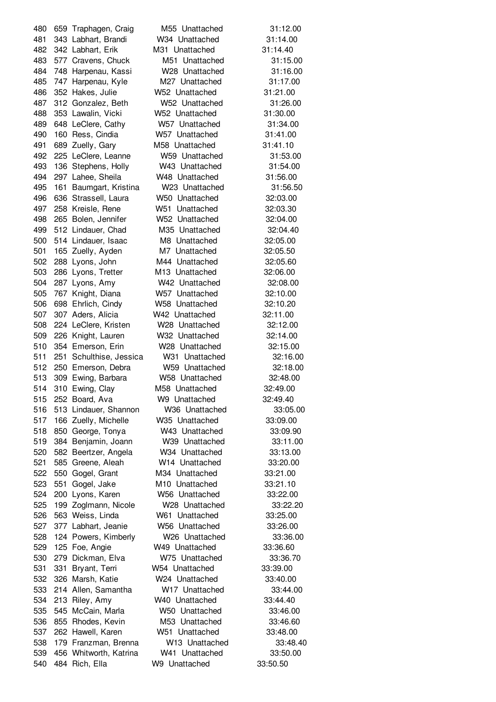659 Traphagen, Craig M55 Unattached 31:12.00 343 Labhart, Brandi W34 Unattached 31:14.00 342 Labhart, Erik M31 Unattached 31:14.40 577 Cravens, Chuck M51 Unattached 31:15.00 748 Harpenau, Kassi W28 Unattached 31:16.00 747 Harpenau, Kyle M27 Unattached 31:17.00 352 Hakes, Julie W52 Unattached 31:21.00 312 Gonzalez, Beth W52 Unattached 31:26.00 353 Lawalin, Vicki W52 Unattached 31:30.00 648 LeClere, Cathy W57 Unattached 31:34.00 160 Ress, Cindia W57 Unattached 31:41.00 689 Zuelly, Gary M58 Unattached 31:41.10 225 LeClere, Leanne W59 Unattached 31:53.00 136 Stephens, Holly W43 Unattached 31:54.00 297 Lahee, Sheila W48 Unattached 31:56.00 161 Baumgart, Kristina W23 Unattached 31:56.50 636 Strassell, Laura W50 Unattached 32:03.00 258 Kreisle, Rene W51 Unattached 32:03.30 265 Bolen, Jennifer W52 Unattached 32:04.00 512 Lindauer, Chad M35 Unattached 32:04.40 514 Lindauer, Isaac M8 Unattached 32:05.00 501 165 Zuelly, Ayden M7 Unattached 32:05.50 288 Lyons, John M44 Unattached 32:05.60 286 Lyons, Tretter M13 Unattached 32:06.00 287 Lyons, Amy W42 Unattached 32:08.00 767 Knight, Diana W57 Unattached 32:10.00 698 Ehrlich, Cindy W58 Unattached 32:10.20 307 Aders, Alicia W42 Unattached 32:11.00 224 LeClere, Kristen W28 Unattached 32:12.00 226 Knight, Lauren W32 Unattached 32:14.00 354 Emerson, Erin W28 Unattached 32:15.00 251 Schulthise, Jessica W31 Unattached 32:16.00 250 Emerson, Debra W59 Unattached 32:18.00 309 Ewing, Barbara W58 Unattached 32:48.00 310 Ewing, Clay M58 Unattached 32:49.00 252 Board, Ava W9 Unattached 32:49.40 513 Lindauer, Shannon W36 Unattached 33:05.00 166 Zuelly, Michelle W35 Unattached 33:09.00 850 George, Tonya W43 Unattached 33:09.90 384 Benjamin, Joann W39 Unattached 33:11.00 582 Beertzer, Angela W34 Unattached 33:13.00 585 Greene, Aleah W14 Unattached 33:20.00 550 Gogel, Grant M34 Unattached 33:21.00 551 Gogel, Jake M10 Unattached 33:21.10 200 Lyons, Karen W56 Unattached 33:22.00 199 Zoglmann, Nicole W28 Unattached 33:22.20 563 Weiss, Linda W61 Unattached 33:25.00 377 Labhart, Jeanie W56 Unattached 33:26.00 124 Powers, Kimberly W26 Unattached 33:36.00 125 Foe, Angie W49 Unattached 33:36.60 279 Dickman, Elva W75 Unattached 33:36.70 331 Bryant, Terri W54 Unattached 33:39.00 326 Marsh, Katie W24 Unattached 33:40.00 214 Allen, Samantha W17 Unattached 33:44.00 213 Riley, Amy W40 Unattached 33:44.40 545 McCain, Marla W50 Unattached 33:46.00 855 Rhodes, Kevin M53 Unattached 33:46.60 262 Hawell, Karen W51 Unattached 33:48.00 179 Franzman, Brenna W13 Unattached 33:48.40 456 Whitworth, Katrina W41 Unattached 33:50.00 484 Rich, Ella W9 Unattached 33:50.50